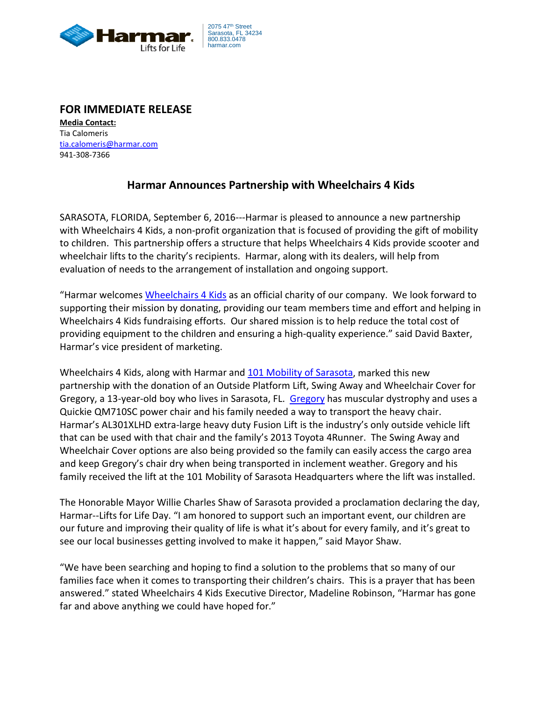

## **FOR IMMEDIATE RELEASE**

**Media Contact:** Tia Calomeris [tia.calomeris@harmar.com](mailto:tia.calomeris@harmar.com) 941-308-7366

## **Harmar Announces Partnership with Wheelchairs 4 Kids**

SARASOTA, FLORIDA, September 6, 2016---Harmar is pleased to announce a new partnership with Wheelchairs 4 Kids, a non-profit organization that is focused of providing the gift of mobility to children. This partnership offers a structure that helps Wheelchairs 4 Kids provide scooter and wheelchair lifts to the charity's recipients. Harmar, along with its dealers, will help from evaluation of needs to the arrangement of installation and ongoing support.

"Harmar welcomes [Wheelchairs 4 Kids](http://wheelchairs4kids.org/) as an official charity of our company. We look forward to supporting their mission by donating, providing our team members time and effort and helping in Wheelchairs 4 Kids fundraising efforts. Our shared mission is to help reduce the total cost of providing equipment to the children and ensuring a high-quality experience." said David Baxter, Harmar's vice president of marketing.

Wheelchairs 4 Kids, along with Harmar an[d 101 Mobility of Sarasota,](http://sarasota.101mobility.com/) marked this new partnership with the donation of an Outside Platform Lift, Swing Away and Wheelchair Cover for [Gregory](http://wheelchairs4kids.org/kids/meet-gregory/), a 13-year-old boy who lives in Sarasota, FL. Gregory has muscular dystrophy and uses a Quickie QM710SC power chair and his family needed a way to transport the heavy chair. Harmar's AL301XLHD extra-large heavy duty Fusion Lift is the industry's only outside vehicle lift that can be used with that chair and the family's 2013 Toyota 4Runner. The Swing Away and Wheelchair Cover options are also being provided so the family can easily access the cargo area and keep Gregory's chair dry when being transported in inclement weather. Gregory and his family received the lift at the 101 Mobility of Sarasota Headquarters where the lift was installed.

The Honorable Mayor Willie Charles Shaw of Sarasota provided a proclamation declaring the day, Harmar--Lifts for Life Day. "I am honored to support such an important event, our children are our future and improving their quality of life is what it's about for every family, and it's great to see our local businesses getting involved to make it happen," said Mayor Shaw.

"We have been searching and hoping to find a solution to the problems that so many of our families face when it comes to transporting their children's chairs. This is a prayer that has been answered." stated Wheelchairs 4 Kids Executive Director, Madeline Robinson, "Harmar has gone far and above anything we could have hoped for."